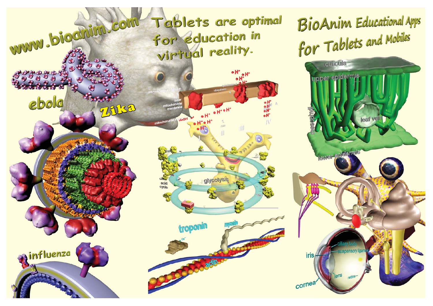